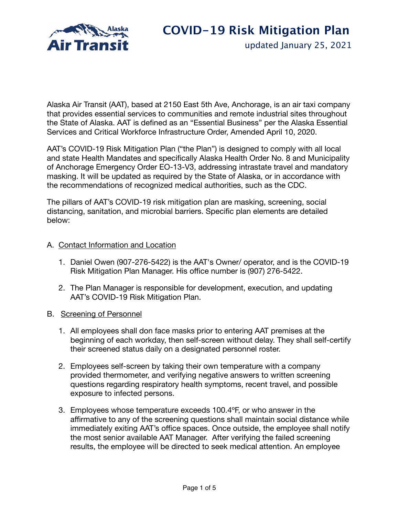

updated January 25, 2021

Alaska Air Transit (AAT), based at 2150 East 5th Ave, Anchorage, is an air taxi company that provides essential services to communities and remote industrial sites throughout the State of Alaska. AAT is defined as an "Essential Business" per the Alaska Essential Services and Critical Workforce Infrastructure Order, Amended April 10, 2020.

AAT's COVID-19 Risk Mitigation Plan ("the Plan") is designed to comply with all local and state Health Mandates and specifically Alaska Health Order No. 8 and Municipality of Anchorage Emergency Order EO-13-V3, addressing intrastate travel and mandatory masking. It will be updated as required by the State of Alaska, or in accordance with the recommendations of recognized medical authorities, such as the CDC.

The pillars of AAT's COVID-19 risk mitigation plan are masking, screening, social distancing, sanitation, and microbial barriers. Specific plan elements are detailed below:

## A. Contact Information and Location

- 1. Daniel Owen (907-276-5422) is the AAT's Owner/ operator, and is the COVID-19 Risk Mitigation Plan Manager. His office number is (907) 276-5422.
- 2. The Plan Manager is responsible for development, execution, and updating AAT's COVID-19 Risk Mitigation Plan.
- B. Screening of Personnel
	- 1. All employees shall don face masks prior to entering AAT premises at the beginning of each workday, then self-screen without delay. They shall self-certify their screened status daily on a designated personnel roster.
	- 2. Employees self-screen by taking their own temperature with a company provided thermometer, and verifying negative answers to written screening questions regarding respiratory health symptoms, recent travel, and possible exposure to infected persons.
	- 3. Employees whose temperature exceeds 100.4ºF, or who answer in the affirmative to any of the screening questions shall maintain social distance while immediately exiting AAT's office spaces. Once outside, the employee shall notify the most senior available AAT Manager. After verifying the failed screening results, the employee will be directed to seek medical attention. An employee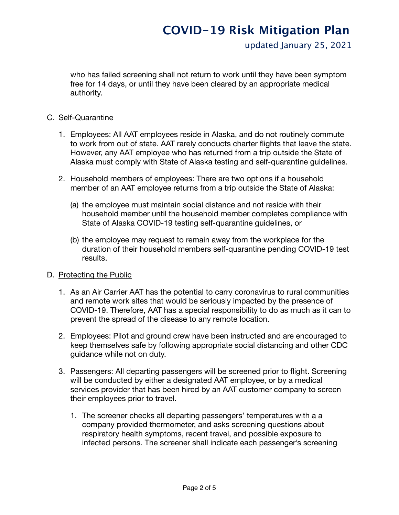# **COVID-19 Risk Mitigation Plan**

updated January 25, 2021

who has failed screening shall not return to work until they have been symptom free for 14 days, or until they have been cleared by an appropriate medical authority.

## C. Self-Quarantine

- 1. Employees: All AAT employees reside in Alaska, and do not routinely commute to work from out of state. AAT rarely conducts charter flights that leave the state. However, any AAT employee who has returned from a trip outside the State of Alaska must comply with State of Alaska testing and self-quarantine guidelines.
- 2. Household members of employees: There are two options if a household member of an AAT employee returns from a trip outside the State of Alaska:
	- (a) the employee must maintain social distance and not reside with their household member until the household member completes compliance with State of Alaska COVID-19 testing self-quarantine guidelines, or
	- (b) the employee may request to remain away from the workplace for the duration of their household members self-quarantine pending COVID-19 test results.

## D. Protecting the Public

- 1. As an Air Carrier AAT has the potential to carry coronavirus to rural communities and remote work sites that would be seriously impacted by the presence of COVID-19. Therefore, AAT has a special responsibility to do as much as it can to prevent the spread of the disease to any remote location.
- 2. Employees: Pilot and ground crew have been instructed and are encouraged to keep themselves safe by following appropriate social distancing and other CDC guidance while not on duty.
- 3. Passengers: All departing passengers will be screened prior to flight. Screening will be conducted by either a designated AAT employee, or by a medical services provider that has been hired by an AAT customer company to screen their employees prior to travel.
	- 1. The screener checks all departing passengers' temperatures with a a company provided thermometer, and asks screening questions about respiratory health symptoms, recent travel, and possible exposure to infected persons. The screener shall indicate each passenger's screening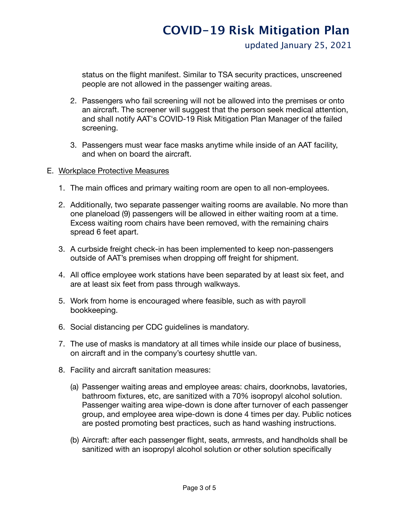status on the flight manifest. Similar to TSA security practices, unscreened people are not allowed in the passenger waiting areas.

- 2. Passengers who fail screening will not be allowed into the premises or onto an aircraft. The screener will suggest that the person seek medical attention, and shall notify AAT's COVID-19 Risk Mitigation Plan Manager of the failed screening.
- 3. Passengers must wear face masks anytime while inside of an AAT facility, and when on board the aircraft.
- E. Workplace Protective Measures
	- 1. The main offices and primary waiting room are open to all non-employees.
	- 2. Additionally, two separate passenger waiting rooms are available. No more than one planeload (9) passengers will be allowed in either waiting room at a time. Excess waiting room chairs have been removed, with the remaining chairs spread 6 feet apart.
	- 3. A curbside freight check-in has been implemented to keep non-passengers outside of AAT's premises when dropping off freight for shipment.
	- 4. All office employee work stations have been separated by at least six feet, and are at least six feet from pass through walkways.
	- 5. Work from home is encouraged where feasible, such as with payroll bookkeeping.
	- 6. Social distancing per CDC guidelines is mandatory.
	- 7. The use of masks is mandatory at all times while inside our place of business, on aircraft and in the company's courtesy shuttle van.
	- 8. Facility and aircraft sanitation measures:
		- (a) Passenger waiting areas and employee areas: chairs, doorknobs, lavatories, bathroom fixtures, etc, are sanitized with a 70% isopropyl alcohol solution. Passenger waiting area wipe-down is done after turnover of each passenger group, and employee area wipe-down is done 4 times per day. Public notices are posted promoting best practices, such as hand washing instructions.
		- (b) Aircraft: after each passenger flight, seats, armrests, and handholds shall be sanitized with an isopropyl alcohol solution or other solution specifically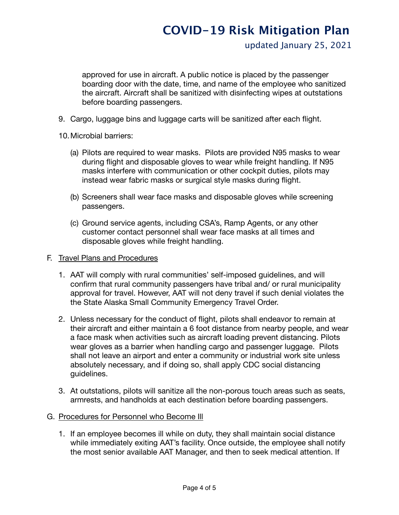updated January 25, 2021

approved for use in aircraft. A public notice is placed by the passenger boarding door with the date, time, and name of the employee who sanitized the aircraft. Aircraft shall be sanitized with disinfecting wipes at outstations before boarding passengers.

- 9. Cargo, luggage bins and luggage carts will be sanitized after each flight.
- 10.Microbial barriers:
	- (a) Pilots are required to wear masks. Pilots are provided N95 masks to wear during flight and disposable gloves to wear while freight handling. If N95 masks interfere with communication or other cockpit duties, pilots may instead wear fabric masks or surgical style masks during flight.
	- (b) Screeners shall wear face masks and disposable gloves while screening passengers.
	- (c) Ground service agents, including CSA's, Ramp Agents, or any other customer contact personnel shall wear face masks at all times and disposable gloves while freight handling.

## F. Travel Plans and Procedures

- 1. AAT will comply with rural communities' self-imposed guidelines, and will confirm that rural community passengers have tribal and/ or rural municipality approval for travel. However, AAT will not deny travel if such denial violates the the State Alaska Small Community Emergency Travel Order.
- 2. Unless necessary for the conduct of flight, pilots shall endeavor to remain at their aircraft and either maintain a 6 foot distance from nearby people, and wear a face mask when activities such as aircraft loading prevent distancing. Pilots wear gloves as a barrier when handling cargo and passenger luggage. Pilots shall not leave an airport and enter a community or industrial work site unless absolutely necessary, and if doing so, shall apply CDC social distancing guidelines.
- 3. At outstations, pilots will sanitize all the non-porous touch areas such as seats, armrests, and handholds at each destination before boarding passengers.
- G. Procedures for Personnel who Become Ill
	- 1. If an employee becomes ill while on duty, they shall maintain social distance while immediately exiting AAT's facility. Once outside, the employee shall notify the most senior available AAT Manager, and then to seek medical attention. If